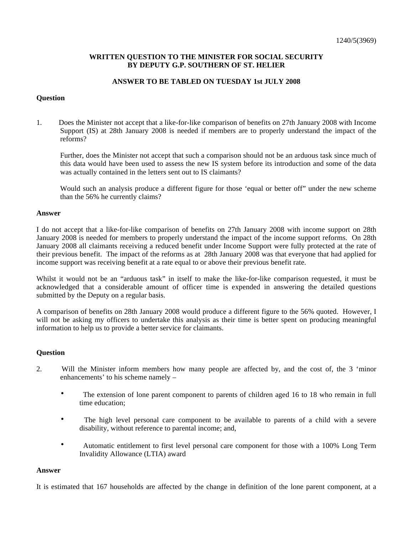## **WRITTEN QUESTION TO THE MINISTER FOR SOCIAL SECURITY BY DEPUTY G.P. SOUTHERN OF ST. HELIER**

## **ANSWER TO BE TABLED ON TUESDAY 1st JULY 2008**

## **Question**

1. Does the Minister not accept that a like-for-like comparison of benefits on 27th January 2008 with Income Support (IS) at 28th January 2008 is needed if members are to properly understand the impact of the reforms?

Further, does the Minister not accept that such a comparison should not be an arduous task since much of this data would have been used to assess the new IS system before its introduction and some of the data was actually contained in the letters sent out to IS claimants?

Would such an analysis produce a different figure for those 'equal or better off" under the new scheme than the 56% he currently claims?

### **Answer**

I do not accept that a like-for-like comparison of benefits on 27th January 2008 with income support on 28th January 2008 is needed for members to properly understand the impact of the income support reforms. On 28th January 2008 all claimants receiving a reduced benefit under Income Support were fully protected at the rate of their previous benefit. The impact of the reforms as at 28th January 2008 was that everyone that had applied for income support was receiving benefit at a rate equal to or above their previous benefit rate.

Whilst it would not be an "arduous task" in itself to make the like-for-like comparison requested, it must be acknowledged that a considerable amount of officer time is expended in answering the detailed questions submitted by the Deputy on a regular basis.

A comparison of benefits on 28th January 2008 would produce a different figure to the 56% quoted. However, I will not be asking my officers to undertake this analysis as their time is better spent on producing meaningful information to help us to provide a better service for claimants.

### **Question**

- 2. Will the Minister inform members how many people are affected by, and the cost of, the 3 'minor enhancements' to his scheme namely –
	- The extension of lone parent component to parents of children aged 16 to 18 who remain in full time education;
	- The high level personal care component to be available to parents of a child with a severe disability, without reference to parental income; and,
	- Automatic entitlement to first level personal care component for those with a 100% Long Term Invalidity Allowance (LTIA) award

### **Answer**

It is estimated that 167 households are affected by the change in definition of the lone parent component, at a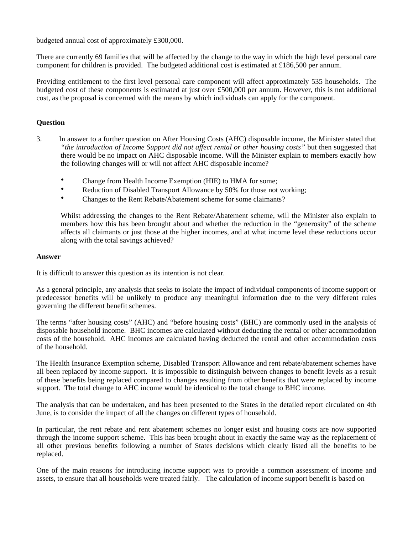budgeted annual cost of approximately £300,000.

There are currently 69 families that will be affected by the change to the way in which the high level personal care component for children is provided. The budgeted additional cost is estimated at £186,500 per annum.

Providing entitlement to the first level personal care component will affect approximately 535 households. The budgeted cost of these components is estimated at just over £500,000 per annum. However, this is not additional cost, as the proposal is concerned with the means by which individuals can apply for the component.

# **Question**

- 3. In answer to a further question on After Housing Costs (AHC) disposable income, the Minister stated that *"the introduction of Income Support did not affect rental or other housing costs"* but then suggested that there would be no impact on AHC disposable income. Will the Minister explain to members exactly how the following changes will or will not affect AHC disposable income?
	- Change from Health Income Exemption (HIE) to HMA for some;
	- Reduction of Disabled Transport Allowance by 50% for those not working;
	- Changes to the Rent Rebate/Abatement scheme for some claimants?

Whilst addressing the changes to the Rent Rebate/Abatement scheme, will the Minister also explain to members how this has been brought about and whether the reduction in the "generosity" of the scheme affects all claimants or just those at the higher incomes, and at what income level these reductions occur along with the total savings achieved?

### **Answer**

It is difficult to answer this question as its intention is not clear.

As a general principle, any analysis that seeks to isolate the impact of individual components of income support or predecessor benefits will be unlikely to produce any meaningful information due to the very different rules governing the different benefit schemes.

The terms "after housing costs" (AHC) and "before housing costs" (BHC) are commonly used in the analysis of disposable household income. BHC incomes are calculated without deducting the rental or other accommodation costs of the household. AHC incomes are calculated having deducted the rental and other accommodation costs of the household.

The Health Insurance Exemption scheme, Disabled Transport Allowance and rent rebate/abatement schemes have all been replaced by income support. It is impossible to distinguish between changes to benefit levels as a result of these benefits being replaced compared to changes resulting from other benefits that were replaced by income support. The total change to AHC income would be identical to the total change to BHC income.

The analysis that can be undertaken, and has been presented to the States in the detailed report circulated on 4th June, is to consider the impact of all the changes on different types of household.

In particular, the rent rebate and rent abatement schemes no longer exist and housing costs are now supported through the income support scheme. This has been brought about in exactly the same way as the replacement of all other previous benefits following a number of States decisions which clearly listed all the benefits to be replaced.

One of the main reasons for introducing income support was to provide a common assessment of income and assets, to ensure that all households were treated fairly. The calculation of income support benefit is based on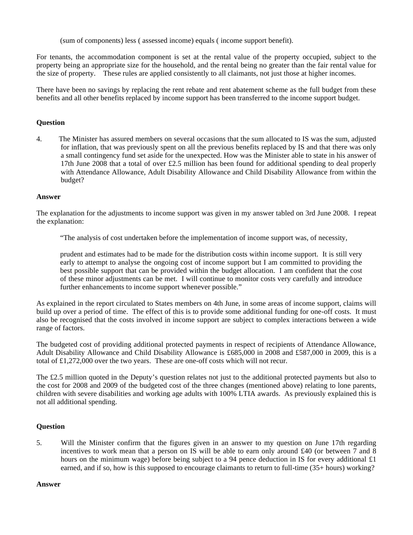(sum of components) less ( assessed income) equals ( income support benefit).

For tenants, the accommodation component is set at the rental value of the property occupied, subject to the property being an appropriate size for the household, and the rental being no greater than the fair rental value for the size of property. These rules are applied consistently to all claimants, not just those at higher incomes.

There have been no savings by replacing the rent rebate and rent abatement scheme as the full budget from these benefits and all other benefits replaced by income support has been transferred to the income support budget.

# **Question**

4. The Minister has assured members on several occasions that the sum allocated to IS was the sum, adjusted for inflation, that was previously spent on all the previous benefits replaced by IS and that there was only a small contingency fund set aside for the unexpected. How was the Minister able to state in his answer of 17th June 2008 that a total of over £2.5 million has been found for additional spending to deal properly with Attendance Allowance, Adult Disability Allowance and Child Disability Allowance from within the budget?

### **Answer**

The explanation for the adjustments to income support was given in my answer tabled on 3rd June 2008. I repeat the explanation:

"The analysis of cost undertaken before the implementation of income support was, of necessity,

prudent and estimates had to be made for the distribution costs within income support. It is still very early to attempt to analyse the ongoing cost of income support but I am committed to providing the best possible support that can be provided within the budget allocation. I am confident that the cost of these minor adjustments can be met. I will continue to monitor costs very carefully and introduce further enhancements to income support whenever possible."

As explained in the report circulated to States members on 4th June, in some areas of income support, claims will build up over a period of time. The effect of this is to provide some additional funding for one-off costs. It must also be recognised that the costs involved in income support are subject to complex interactions between a wide range of factors.

The budgeted cost of providing additional protected payments in respect of recipients of Attendance Allowance, Adult Disability Allowance and Child Disability Allowance is £685,000 in 2008 and £587,000 in 2009, this is a total of £1,272,000 over the two years. These are one-off costs which will not recur.

The £2.5 million quoted in the Deputy's question relates not just to the additional protected payments but also to the cost for 2008 and 2009 of the budgeted cost of the three changes (mentioned above) relating to lone parents, children with severe disabilities and working age adults with 100% LTIA awards. As previously explained this is not all additional spending.

## **Question**

5. Will the Minister confirm that the figures given in an answer to my question on June 17th regarding incentives to work mean that a person on IS will be able to earn only around £40 (or between 7 and 8 hours on the minimum wage) before being subject to a 94 pence deduction in IS for every additional £1 earned, and if so, how is this supposed to encourage claimants to return to full-time (35+ hours) working?

**Answer**